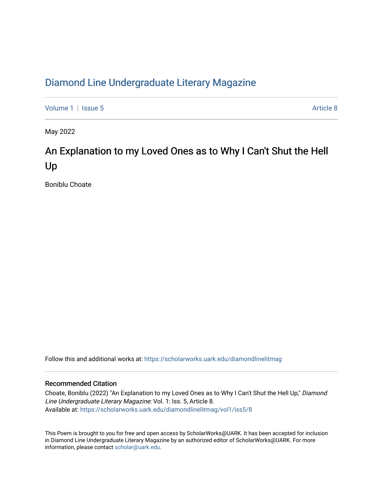## [Diamond Line Undergraduate Literary Magazine](https://scholarworks.uark.edu/diamondlinelitmag)

[Volume 1](https://scholarworks.uark.edu/diamondlinelitmag/vol1) | [Issue 5](https://scholarworks.uark.edu/diamondlinelitmag/vol1/iss5) Article 8

May 2022

## An Explanation to my Loved Ones as to Why I Can't Shut the Hell Up

Boniblu Choate

Follow this and additional works at: [https://scholarworks.uark.edu/diamondlinelitmag](https://scholarworks.uark.edu/diamondlinelitmag?utm_source=scholarworks.uark.edu%2Fdiamondlinelitmag%2Fvol1%2Fiss5%2F8&utm_medium=PDF&utm_campaign=PDFCoverPages) 

## Recommended Citation

Choate, Boniblu (2022) "An Explanation to my Loved Ones as to Why I Can't Shut the Hell Up," Diamond Line Undergraduate Literary Magazine: Vol. 1: Iss. 5, Article 8. Available at: [https://scholarworks.uark.edu/diamondlinelitmag/vol1/iss5/8](https://scholarworks.uark.edu/diamondlinelitmag/vol1/iss5/8?utm_source=scholarworks.uark.edu%2Fdiamondlinelitmag%2Fvol1%2Fiss5%2F8&utm_medium=PDF&utm_campaign=PDFCoverPages)

This Poem is brought to you for free and open access by ScholarWorks@UARK. It has been accepted for inclusion in Diamond Line Undergraduate Literary Magazine by an authorized editor of ScholarWorks@UARK. For more information, please contact [scholar@uark.edu.](mailto:scholar@uark.edu)